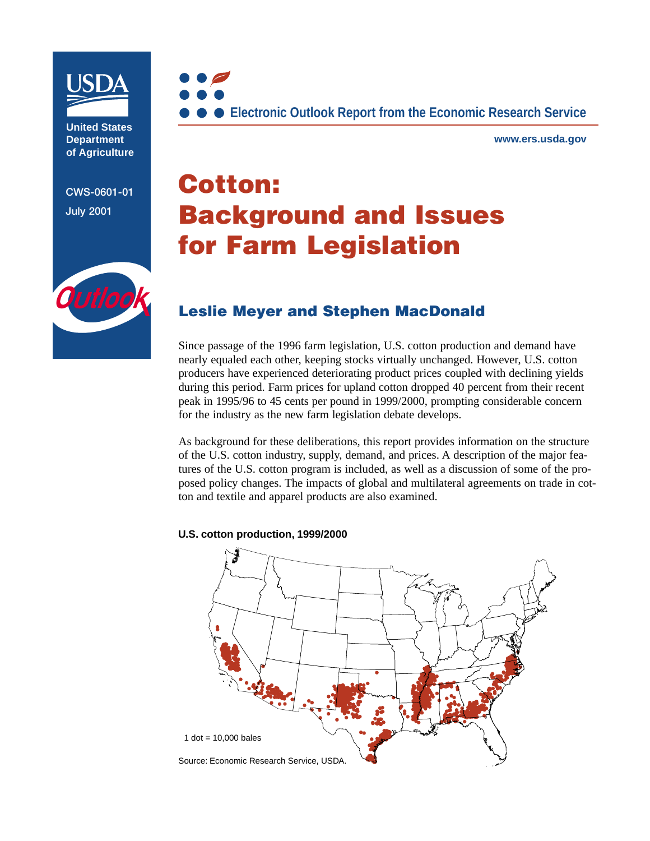

**United States Department of Agriculture**

**CWS-0601-01 July 2001**



**www.ers.usda.gov**

# **Cotton: Background and Issues for Farm Legislation**



# **Leslie Meyer and Stephen MacDonald**

Since passage of the 1996 farm legislation, U.S. cotton production and demand have nearly equaled each other, keeping stocks virtually unchanged. However, U.S. cotton producers have experienced deteriorating product prices coupled with declining yields during this period. Farm prices for upland cotton dropped 40 percent from their recent peak in 1995/96 to 45 cents per pound in 1999/2000, prompting considerable concern for the industry as the new farm legislation debate develops.

As background for these deliberations, this report provides information on the structure of the U.S. cotton industry, supply, demand, and prices. A description of the major features of the U.S. cotton program is included, as well as a discussion of some of the proposed policy changes. The impacts of global and multilateral agreements on trade in cotton and textile and apparel products are also examined.

#### **U.S. cotton production, 1999/2000**

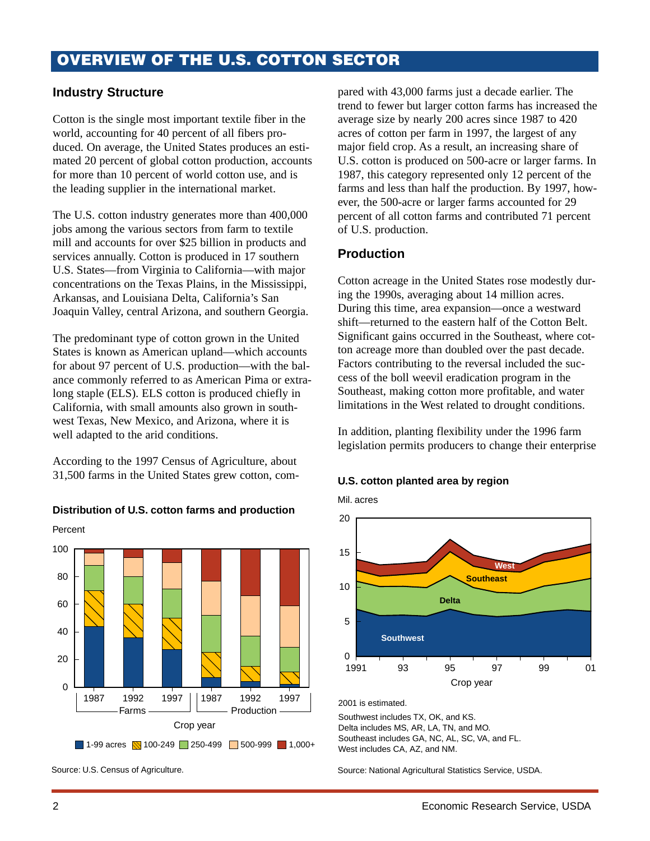## **OVERVIEW OF THE U.S. COTTON SECTOR**

## **Industry Structure**

Cotton is the single most important textile fiber in the world, accounting for 40 percent of all fibers produced. On average, the United States produces an estimated 20 percent of global cotton production, accounts for more than 10 percent of world cotton use, and is the leading supplier in the international market.

The U.S. cotton industry generates more than 400,000 jobs among the various sectors from farm to textile mill and accounts for over \$25 billion in products and services annually. Cotton is produced in 17 southern U.S. States—from Virginia to California—with major concentrations on the Texas Plains, in the Mississippi, Arkansas, and Louisiana Delta, California's San Joaquin Valley, central Arizona, and southern Georgia.

The predominant type of cotton grown in the United States is known as American upland—which accounts for about 97 percent of U.S. production—with the balance commonly referred to as American Pima or extralong staple (ELS). ELS cotton is produced chiefly in California, with small amounts also grown in southwest Texas, New Mexico, and Arizona, where it is well adapted to the arid conditions.

According to the 1997 Census of Agriculture, about 31,500 farms in the United States grew cotton, com-

### **Distribution of U.S. cotton farms and production**





Source: U.S. Census of Agriculture.

pared with 43,000 farms just a decade earlier. The trend to fewer but larger cotton farms has increased the average size by nearly 200 acres since 1987 to 420 acres of cotton per farm in 1997, the largest of any major field crop. As a result, an increasing share of U.S. cotton is produced on 500-acre or larger farms. In 1987, this category represented only 12 percent of the farms and less than half the production. By 1997, however, the 500-acre or larger farms accounted for 29 percent of all cotton farms and contributed 71 percent of U.S. production.

## **Production**

Cotton acreage in the United States rose modestly during the 1990s, averaging about 14 million acres. During this time, area expansion—once a westward shift—returned to the eastern half of the Cotton Belt. Significant gains occurred in the Southeast, where cotton acreage more than doubled over the past decade. Factors contributing to the reversal included the success of the boll weevil eradication program in the Southeast, making cotton more profitable, and water limitations in the West related to drought conditions.

In addition, planting flexibility under the 1996 farm legislation permits producers to change their enterprise

#### **U.S. cotton planted area by region**

Mil. acres



2001 is estimated.

Southwest includes TX, OK, and KS. Delta includes MS, AR, LA, TN, and MO. Southeast includes GA, NC, AL, SC, VA, and FL. West includes CA, AZ, and NM.

Source: National Agricultural Statistics Service, USDA.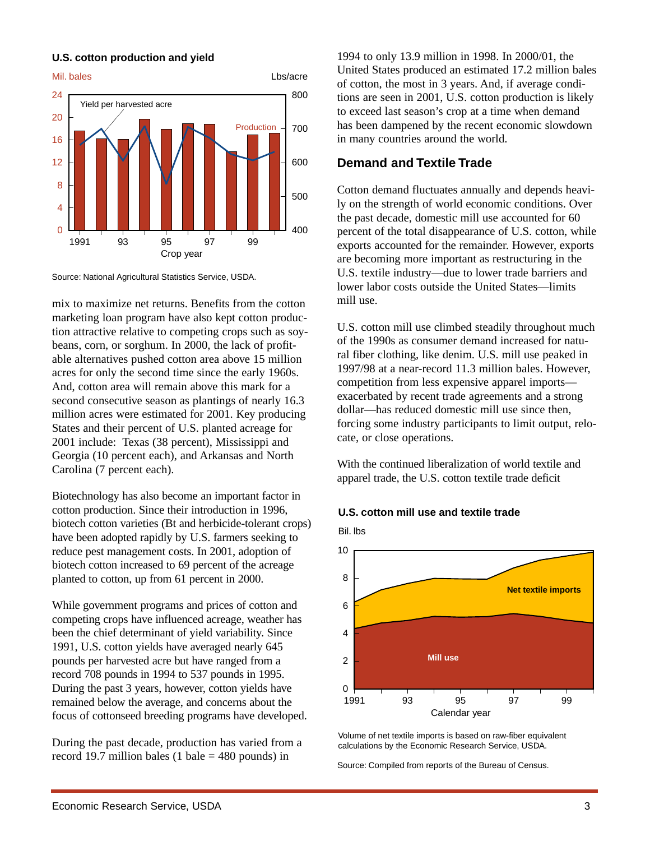

## **U.S. cotton production and yield**

Source: National Agricultural Statistics Service, USDA.

mix to maximize net returns. Benefits from the cotton marketing loan program have also kept cotton production attractive relative to competing crops such as soybeans, corn, or sorghum. In 2000, the lack of profitable alternatives pushed cotton area above 15 million acres for only the second time since the early 1960s. And, cotton area will remain above this mark for a second consecutive season as plantings of nearly 16.3 million acres were estimated for 2001. Key producing States and their percent of U.S. planted acreage for 2001 include: Texas (38 percent), Mississippi and Georgia (10 percent each), and Arkansas and North Carolina (7 percent each).

Biotechnology has also become an important factor in cotton production. Since their introduction in 1996, biotech cotton varieties (Bt and herbicide-tolerant crops) have been adopted rapidly by U.S. farmers seeking to reduce pest management costs. In 2001, adoption of biotech cotton increased to 69 percent of the acreage planted to cotton, up from 61 percent in 2000.

While government programs and prices of cotton and competing crops have influenced acreage, weather has been the chief determinant of yield variability. Since 1991, U.S. cotton yields have averaged nearly 645 pounds per harvested acre but have ranged from a record 708 pounds in 1994 to 537 pounds in 1995. During the past 3 years, however, cotton yields have remained below the average, and concerns about the focus of cottonseed breeding programs have developed.

During the past decade, production has varied from a record 19.7 million bales (1 bale  $=$  480 pounds) in

1994 to only 13.9 million in 1998. In 2000/01, the United States produced an estimated 17.2 million bales of cotton, the most in 3 years. And, if average conditions are seen in 2001, U.S. cotton production is likely to exceed last season's crop at a time when demand has been dampened by the recent economic slowdown in many countries around the world.

## **Demand and Textile Trade**

Cotton demand fluctuates annually and depends heavily on the strength of world economic conditions. Over the past decade, domestic mill use accounted for 60 percent of the total disappearance of U.S. cotton, while exports accounted for the remainder. However, exports are becoming more important as restructuring in the U.S. textile industry—due to lower trade barriers and lower labor costs outside the United States—limits mill use.

U.S. cotton mill use climbed steadily throughout much of the 1990s as consumer demand increased for natural fiber clothing, like denim. U.S. mill use peaked in 1997/98 at a near-record 11.3 million bales. However, competition from less expensive apparel imports exacerbated by recent trade agreements and a strong dollar—has reduced domestic mill use since then, forcing some industry participants to limit output, relocate, or close operations.

With the continued liberalization of world textile and apparel trade, the U.S. cotton textile trade deficit





Volume of net textile imports is based on raw-fiber equivalent calculations by the Economic Research Service, USDA.

Source: Compiled from reports of the Bureau of Census.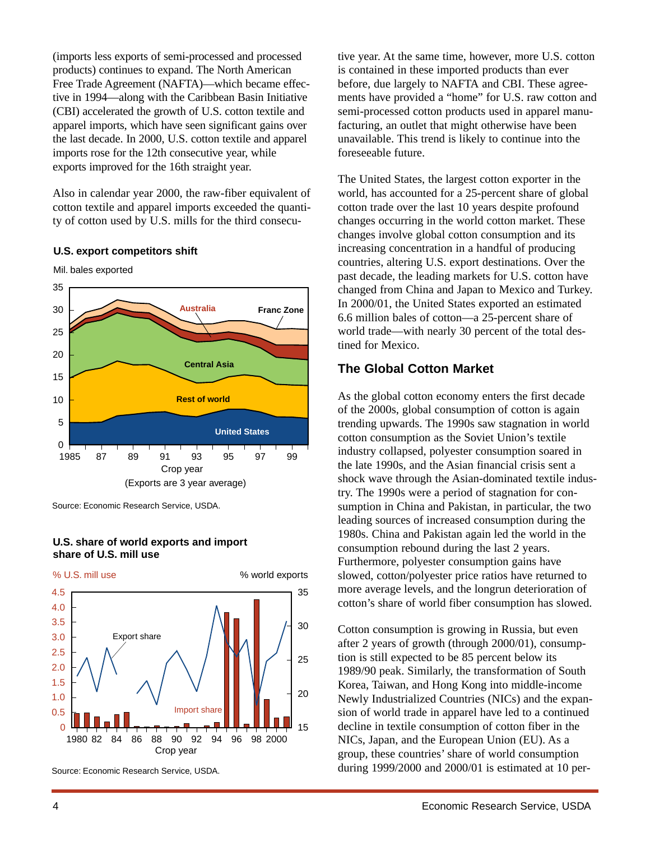(imports less exports of semi-processed and processed products) continues to expand. The North American Free Trade Agreement (NAFTA)—which became effective in 1994—along with the Caribbean Basin Initiative (CBI) accelerated the growth of U.S. cotton textile and apparel imports, which have seen significant gains over the last decade. In 2000, U.S. cotton textile and apparel imports rose for the 12th consecutive year, while exports improved for the 16th straight year.

Also in calendar year 2000, the raw-fiber equivalent of cotton textile and apparel imports exceeded the quantity of cotton used by U.S. mills for the third consecu-

#### **U.S. export competitors shift**





Source: Economic Research Service, USDA.

## **U.S. share of world exports and import share of U.S. mill use**



Source: Economic Research Service, USDA.

tive year. At the same time, however, more U.S. cotton is contained in these imported products than ever before, due largely to NAFTA and CBI. These agreements have provided a "home" for U.S. raw cotton and semi-processed cotton products used in apparel manufacturing, an outlet that might otherwise have been unavailable. This trend is likely to continue into the foreseeable future.

The United States, the largest cotton exporter in the world, has accounted for a 25-percent share of global cotton trade over the last 10 years despite profound changes occurring in the world cotton market. These changes involve global cotton consumption and its increasing concentration in a handful of producing countries, altering U.S. export destinations. Over the past decade, the leading markets for U.S. cotton have changed from China and Japan to Mexico and Turkey. In 2000/01, the United States exported an estimated 6.6 million bales of cotton—a 25-percent share of world trade—with nearly 30 percent of the total destined for Mexico.

## **The Global Cotton Market**

As the global cotton economy enters the first decade of the 2000s, global consumption of cotton is again trending upwards. The 1990s saw stagnation in world cotton consumption as the Soviet Union's textile industry collapsed, polyester consumption soared in the late 1990s, and the Asian financial crisis sent a shock wave through the Asian-dominated textile industry. The 1990s were a period of stagnation for consumption in China and Pakistan, in particular, the two leading sources of increased consumption during the 1980s. China and Pakistan again led the world in the consumption rebound during the last 2 years. Furthermore, polyester consumption gains have slowed, cotton/polyester price ratios have returned to more average levels, and the longrun deterioration of cotton's share of world fiber consumption has slowed.

Cotton consumption is growing in Russia, but even after 2 years of growth (through 2000/01), consumption is still expected to be 85 percent below its 1989/90 peak. Similarly, the transformation of South Korea, Taiwan, and Hong Kong into middle-income Newly Industrialized Countries (NICs) and the expansion of world trade in apparel have led to a continued decline in textile consumption of cotton fiber in the NICs, Japan, and the European Union (EU). As a group, these countries' share of world consumption during 1999/2000 and 2000/01 is estimated at 10 per-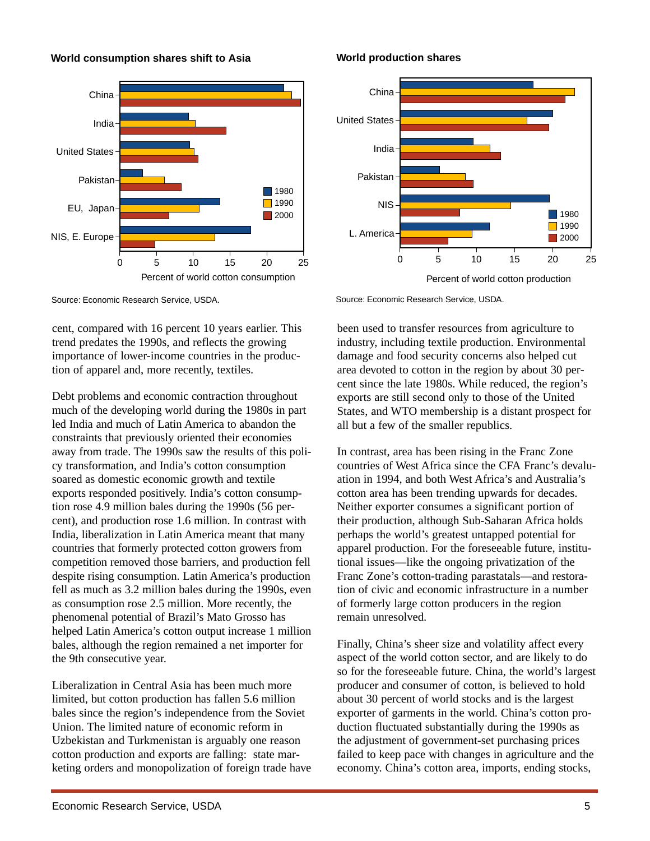

**World consumption shares shift to Asia**

Source: Economic Research Service, USDA.

cent, compared with 16 percent 10 years earlier. This trend predates the 1990s, and reflects the growing importance of lower-income countries in the production of apparel and, more recently, textiles.

Debt problems and economic contraction throughout much of the developing world during the 1980s in part led India and much of Latin America to abandon the constraints that previously oriented their economies away from trade. The 1990s saw the results of this policy transformation, and India's cotton consumption soared as domestic economic growth and textile exports responded positively. India's cotton consumption rose 4.9 million bales during the 1990s (56 percent), and production rose 1.6 million. In contrast with India, liberalization in Latin America meant that many countries that formerly protected cotton growers from competition removed those barriers, and production fell despite rising consumption. Latin America's production fell as much as 3.2 million bales during the 1990s, even as consumption rose 2.5 million. More recently, the phenomenal potential of Brazil's Mato Grosso has helped Latin America's cotton output increase 1 million bales, although the region remained a net importer for the 9th consecutive year.

Liberalization in Central Asia has been much more limited, but cotton production has fallen 5.6 million bales since the region's independence from the Soviet Union. The limited nature of economic reform in Uzbekistan and Turkmenistan is arguably one reason cotton production and exports are falling: state marketing orders and monopolization of foreign trade have

**World production shares**



Source: Economic Research Service, USDA.

been used to transfer resources from agriculture to industry, including textile production. Environmental damage and food security concerns also helped cut area devoted to cotton in the region by about 30 percent since the late 1980s. While reduced, the region's exports are still second only to those of the United States, and WTO membership is a distant prospect for all but a few of the smaller republics.

In contrast, area has been rising in the Franc Zone countries of West Africa since the CFA Franc's devaluation in 1994, and both West Africa's and Australia's cotton area has been trending upwards for decades. Neither exporter consumes a significant portion of their production, although Sub-Saharan Africa holds perhaps the world's greatest untapped potential for apparel production. For the foreseeable future, institutional issues—like the ongoing privatization of the Franc Zone's cotton-trading parastatals—and restoration of civic and economic infrastructure in a number of formerly large cotton producers in the region remain unresolved.

Finally, China's sheer size and volatility affect every aspect of the world cotton sector, and are likely to do so for the foreseeable future. China, the world's largest producer and consumer of cotton, is believed to hold about 30 percent of world stocks and is the largest exporter of garments in the world. China's cotton production fluctuated substantially during the 1990s as the adjustment of government-set purchasing prices failed to keep pace with changes in agriculture and the economy. China's cotton area, imports, ending stocks,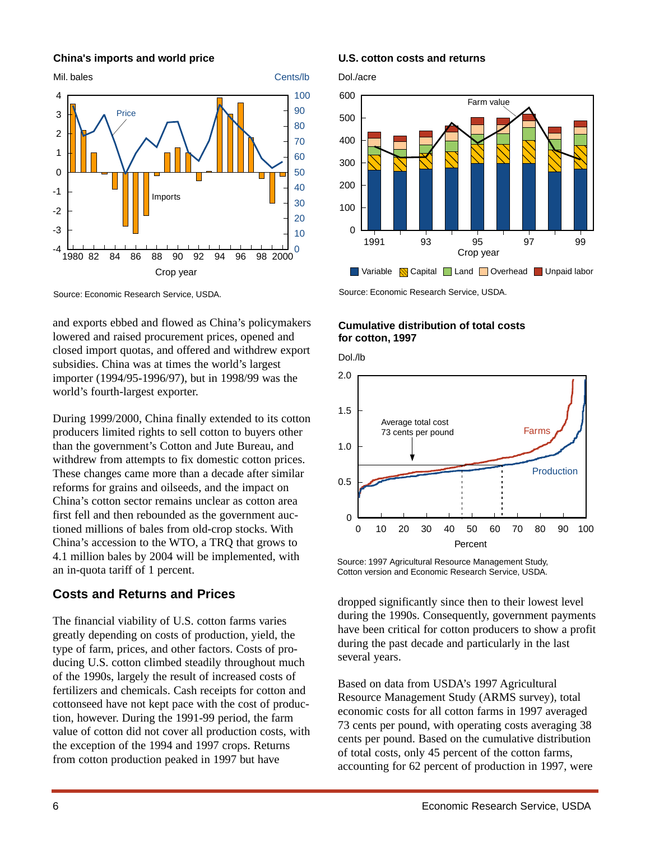## **China's imports and world price**



Source: Economic Research Service, USDA.

and exports ebbed and flowed as China's policymakers lowered and raised procurement prices, opened and closed import quotas, and offered and withdrew export subsidies. China was at times the world's largest importer (1994/95-1996/97), but in 1998/99 was the world's fourth-largest exporter.

During 1999/2000, China finally extended to its cotton producers limited rights to sell cotton to buyers other than the government's Cotton and Jute Bureau, and withdrew from attempts to fix domestic cotton prices. These changes came more than a decade after similar reforms for grains and oilseeds, and the impact on China's cotton sector remains unclear as cotton area first fell and then rebounded as the government auctioned millions of bales from old-crop stocks. With China's accession to the WTO, a TRQ that grows to 4.1 million bales by 2004 will be implemented, with an in-quota tariff of 1 percent.

## **Costs and Returns and Prices**

The financial viability of U.S. cotton farms varies greatly depending on costs of production, yield, the type of farm, prices, and other factors. Costs of producing U.S. cotton climbed steadily throughout much of the 1990s, largely the result of increased costs of fertilizers and chemicals. Cash receipts for cotton and cottonseed have not kept pace with the cost of production, however. During the 1991-99 period, the farm value of cotton did not cover all production costs, with the exception of the 1994 and 1997 crops. Returns from cotton production peaked in 1997 but have

#### **U.S. cotton costs and returns**

Dol./acre



Source: Economic Research Service, USDA.

## **Cumulative distribution of total costs for cotton, 1997**

Dol./lb



Source: 1997 Agricultural Resource Management Study, Cotton version and Economic Research Service, USDA.

dropped significantly since then to their lowest level during the 1990s. Consequently, government payments have been critical for cotton producers to show a profit during the past decade and particularly in the last several years.

Based on data from USDA's 1997 Agricultural Resource Management Study (ARMS survey), total economic costs for all cotton farms in 1997 averaged 73 cents per pound, with operating costs averaging 38 cents per pound. Based on the cumulative distribution of total costs, only 45 percent of the cotton farms, accounting for 62 percent of production in 1997, were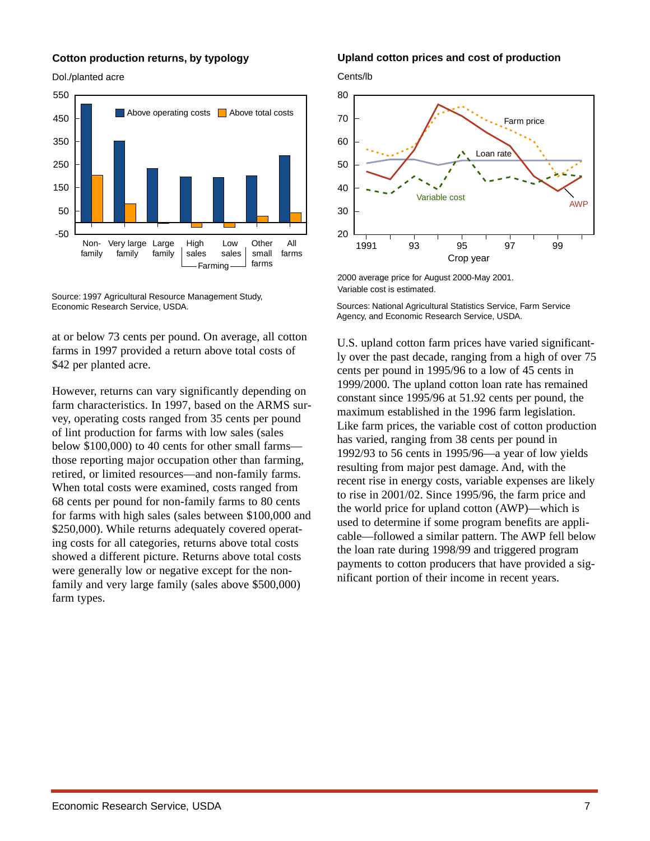### **Cotton production returns, by typology**

Dol./planted acre



Source: 1997 Agricultural Resource Management Study, Economic Research Service, USDA.

at or below 73 cents per pound. On average, all cotton farms in 1997 provided a return above total costs of \$42 per planted acre.

However, returns can vary significantly depending on farm characteristics. In 1997, based on the ARMS survey, operating costs ranged from 35 cents per pound of lint production for farms with low sales (sales below \$100,000) to 40 cents for other small farms those reporting major occupation other than farming, retired, or limited resources—and non-family farms. When total costs were examined, costs ranged from 68 cents per pound for non-family farms to 80 cents for farms with high sales (sales between \$100,000 and \$250,000). While returns adequately covered operating costs for all categories, returns above total costs showed a different picture. Returns above total costs were generally low or negative except for the nonfamily and very large family (sales above \$500,000) farm types.

#### **Upland cotton prices and cost of production**





<sup>2000</sup> average price for August 2000-May 2001. Variable cost is estimated.

Sources: National Agricultural Statistics Service, Farm Service Agency, and Economic Research Service, USDA.

U.S. upland cotton farm prices have varied significantly over the past decade, ranging from a high of over 75 cents per pound in 1995/96 to a low of 45 cents in 1999/2000. The upland cotton loan rate has remained constant since 1995/96 at 51.92 cents per pound, the maximum established in the 1996 farm legislation. Like farm prices, the variable cost of cotton production has varied, ranging from 38 cents per pound in 1992/93 to 56 cents in 1995/96—a year of low yields resulting from major pest damage. And, with the recent rise in energy costs, variable expenses are likely to rise in 2001/02. Since 1995/96, the farm price and the world price for upland cotton (AWP)—which is used to determine if some program benefits are applicable—followed a similar pattern. The AWP fell below the loan rate during 1998/99 and triggered program payments to cotton producers that have provided a significant portion of their income in recent years.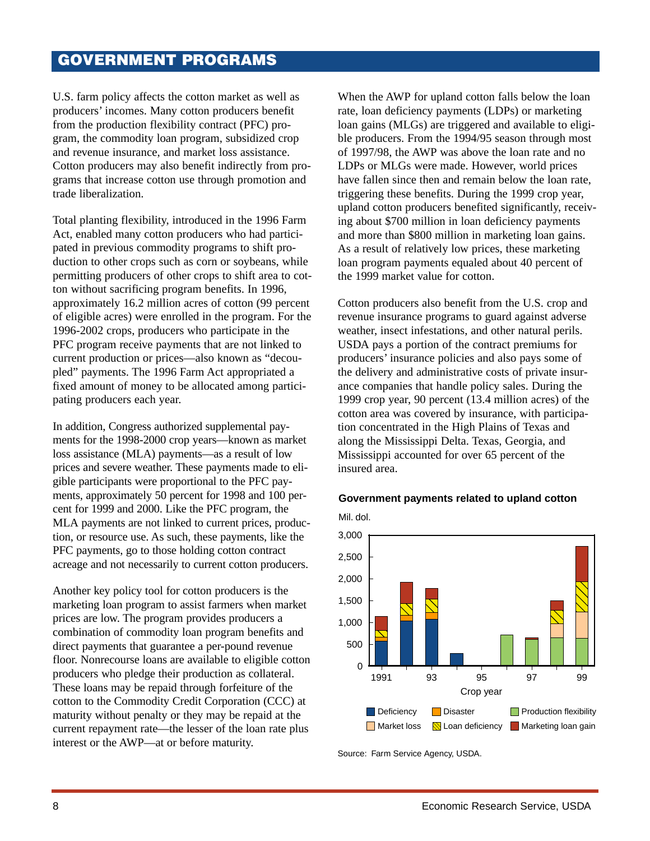# **GOVERNMENT PROGRAMS**

U.S. farm policy affects the cotton market as well as producers' incomes. Many cotton producers benefit from the production flexibility contract (PFC) program, the commodity loan program, subsidized crop and revenue insurance, and market loss assistance. Cotton producers may also benefit indirectly from programs that increase cotton use through promotion and trade liberalization.

Total planting flexibility, introduced in the 1996 Farm Act, enabled many cotton producers who had participated in previous commodity programs to shift production to other crops such as corn or soybeans, while permitting producers of other crops to shift area to cotton without sacrificing program benefits. In 1996, approximately 16.2 million acres of cotton (99 percent of eligible acres) were enrolled in the program. For the 1996-2002 crops, producers who participate in the PFC program receive payments that are not linked to current production or prices—also known as "decoupled" payments. The 1996 Farm Act appropriated a fixed amount of money to be allocated among participating producers each year.

In addition, Congress authorized supplemental payments for the 1998-2000 crop years—known as market loss assistance (MLA) payments—as a result of low prices and severe weather. These payments made to eligible participants were proportional to the PFC payments, approximately 50 percent for 1998 and 100 percent for 1999 and 2000. Like the PFC program, the MLA payments are not linked to current prices, production, or resource use. As such, these payments, like the PFC payments, go to those holding cotton contract acreage and not necessarily to current cotton producers.

Another key policy tool for cotton producers is the marketing loan program to assist farmers when market prices are low. The program provides producers a combination of commodity loan program benefits and direct payments that guarantee a per-pound revenue floor. Nonrecourse loans are available to eligible cotton producers who pledge their production as collateral. These loans may be repaid through forfeiture of the cotton to the Commodity Credit Corporation (CCC) at maturity without penalty or they may be repaid at the current repayment rate—the lesser of the loan rate plus interest or the AWP—at or before maturity.

When the AWP for upland cotton falls below the loan rate, loan deficiency payments (LDPs) or marketing loan gains (MLGs) are triggered and available to eligible producers. From the 1994/95 season through most of 1997/98, the AWP was above the loan rate and no LDPs or MLGs were made. However, world prices have fallen since then and remain below the loan rate, triggering these benefits. During the 1999 crop year, upland cotton producers benefited significantly, receiving about \$700 million in loan deficiency payments and more than \$800 million in marketing loan gains. As a result of relatively low prices, these marketing loan program payments equaled about 40 percent of the 1999 market value for cotton.

Cotton producers also benefit from the U.S. crop and revenue insurance programs to guard against adverse weather, insect infestations, and other natural perils. USDA pays a portion of the contract premiums for producers' insurance policies and also pays some of the delivery and administrative costs of private insurance companies that handle policy sales. During the 1999 crop year, 90 percent (13.4 million acres) of the cotton area was covered by insurance, with participation concentrated in the High Plains of Texas and along the Mississippi Delta. Texas, Georgia, and Mississippi accounted for over 65 percent of the insured area.





Source: Farm Service Agency, USDA.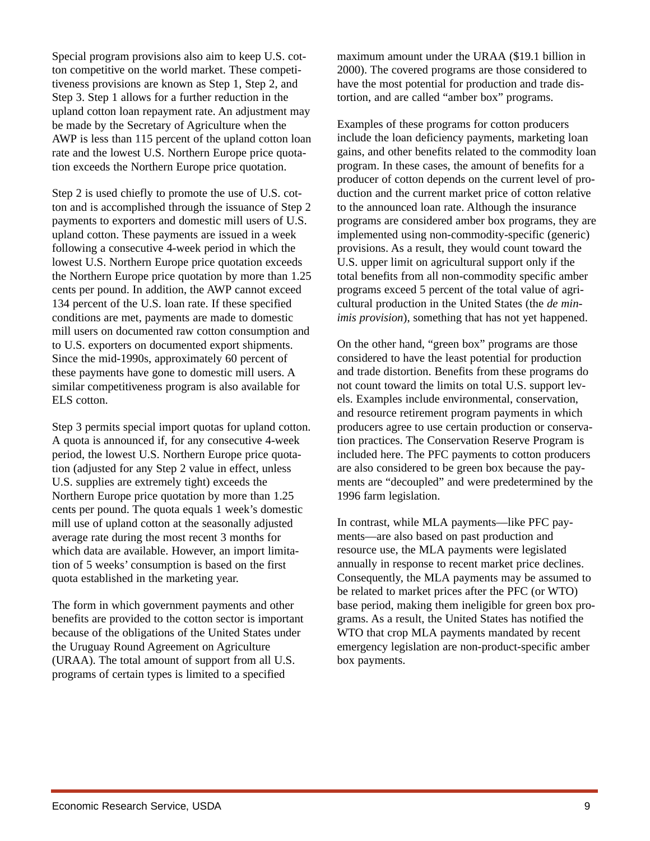Special program provisions also aim to keep U.S. cotton competitive on the world market. These competitiveness provisions are known as Step 1, Step 2, and Step 3. Step 1 allows for a further reduction in the upland cotton loan repayment rate. An adjustment may be made by the Secretary of Agriculture when the AWP is less than 115 percent of the upland cotton loan rate and the lowest U.S. Northern Europe price quotation exceeds the Northern Europe price quotation.

Step 2 is used chiefly to promote the use of U.S. cotton and is accomplished through the issuance of Step 2 payments to exporters and domestic mill users of U.S. upland cotton. These payments are issued in a week following a consecutive 4-week period in which the lowest U.S. Northern Europe price quotation exceeds the Northern Europe price quotation by more than 1.25 cents per pound. In addition, the AWP cannot exceed 134 percent of the U.S. loan rate. If these specified conditions are met, payments are made to domestic mill users on documented raw cotton consumption and to U.S. exporters on documented export shipments. Since the mid-1990s, approximately 60 percent of these payments have gone to domestic mill users. A similar competitiveness program is also available for ELS cotton.

Step 3 permits special import quotas for upland cotton. A quota is announced if, for any consecutive 4-week period, the lowest U.S. Northern Europe price quotation (adjusted for any Step 2 value in effect, unless U.S. supplies are extremely tight) exceeds the Northern Europe price quotation by more than 1.25 cents per pound. The quota equals 1 week's domestic mill use of upland cotton at the seasonally adjusted average rate during the most recent 3 months for which data are available. However, an import limitation of 5 weeks' consumption is based on the first quota established in the marketing year.

The form in which government payments and other benefits are provided to the cotton sector is important because of the obligations of the United States under the Uruguay Round Agreement on Agriculture (URAA). The total amount of support from all U.S. programs of certain types is limited to a specified

maximum amount under the URAA (\$19.1 billion in 2000). The covered programs are those considered to have the most potential for production and trade distortion, and are called "amber box" programs.

Examples of these programs for cotton producers include the loan deficiency payments, marketing loan gains, and other benefits related to the commodity loan program. In these cases, the amount of benefits for a producer of cotton depends on the current level of production and the current market price of cotton relative to the announced loan rate. Although the insurance programs are considered amber box programs, they are implemented using non-commodity-specific (generic) provisions. As a result, they would count toward the U.S. upper limit on agricultural support only if the total benefits from all non-commodity specific amber programs exceed 5 percent of the total value of agricultural production in the United States (the *de minimis provision*), something that has not yet happened.

On the other hand, "green box" programs are those considered to have the least potential for production and trade distortion. Benefits from these programs do not count toward the limits on total U.S. support levels. Examples include environmental, conservation, and resource retirement program payments in which producers agree to use certain production or conservation practices. The Conservation Reserve Program is included here. The PFC payments to cotton producers are also considered to be green box because the payments are "decoupled" and were predetermined by the 1996 farm legislation.

In contrast, while MLA payments—like PFC payments—are also based on past production and resource use, the MLA payments were legislated annually in response to recent market price declines. Consequently, the MLA payments may be assumed to be related to market prices after the PFC (or WTO) base period, making them ineligible for green box programs. As a result, the United States has notified the WTO that crop MLA payments mandated by recent emergency legislation are non-product-specific amber box payments.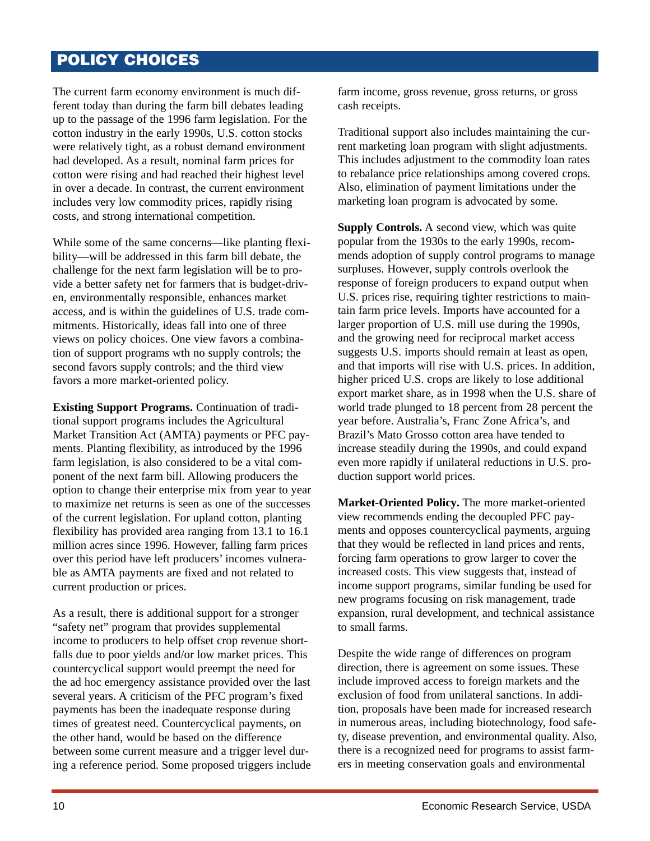# **POLICY CHOICES**

The current farm economy environment is much different today than during the farm bill debates leading up to the passage of the 1996 farm legislation. For the cotton industry in the early 1990s, U.S. cotton stocks were relatively tight, as a robust demand environment had developed. As a result, nominal farm prices for cotton were rising and had reached their highest level in over a decade. In contrast, the current environment includes very low commodity prices, rapidly rising costs, and strong international competition.

While some of the same concerns—like planting flexibility—will be addressed in this farm bill debate, the challenge for the next farm legislation will be to provide a better safety net for farmers that is budget-driven, environmentally responsible, enhances market access, and is within the guidelines of U.S. trade commitments. Historically, ideas fall into one of three views on policy choices. One view favors a combination of support programs wth no supply controls; the second favors supply controls; and the third view favors a more market-oriented policy.

**Existing Support Programs.** Continuation of traditional support programs includes the Agricultural Market Transition Act (AMTA) payments or PFC payments. Planting flexibility, as introduced by the 1996 farm legislation, is also considered to be a vital component of the next farm bill. Allowing producers the option to change their enterprise mix from year to year to maximize net returns is seen as one of the successes of the current legislation. For upland cotton, planting flexibility has provided area ranging from 13.1 to 16.1 million acres since 1996. However, falling farm prices over this period have left producers' incomes vulnerable as AMTA payments are fixed and not related to current production or prices.

As a result, there is additional support for a stronger "safety net" program that provides supplemental income to producers to help offset crop revenue shortfalls due to poor yields and/or low market prices. This countercyclical support would preempt the need for the ad hoc emergency assistance provided over the last several years. A criticism of the PFC program's fixed payments has been the inadequate response during times of greatest need. Countercyclical payments, on the other hand, would be based on the difference between some current measure and a trigger level during a reference period. Some proposed triggers include

farm income, gross revenue, gross returns, or gross cash receipts.

Traditional support also includes maintaining the current marketing loan program with slight adjustments. This includes adjustment to the commodity loan rates to rebalance price relationships among covered crops. Also, elimination of payment limitations under the marketing loan program is advocated by some.

**Supply Controls.** A second view, which was quite popular from the 1930s to the early 1990s, recommends adoption of supply control programs to manage surpluses. However, supply controls overlook the response of foreign producers to expand output when U.S. prices rise, requiring tighter restrictions to maintain farm price levels. Imports have accounted for a larger proportion of U.S. mill use during the 1990s, and the growing need for reciprocal market access suggests U.S. imports should remain at least as open, and that imports will rise with U.S. prices. In addition, higher priced U.S. crops are likely to lose additional export market share, as in 1998 when the U.S. share of world trade plunged to 18 percent from 28 percent the year before. Australia's, Franc Zone Africa's, and Brazil's Mato Grosso cotton area have tended to increase steadily during the 1990s, and could expand even more rapidly if unilateral reductions in U.S. production support world prices.

**Market-Oriented Policy.** The more market-oriented view recommends ending the decoupled PFC payments and opposes countercyclical payments, arguing that they would be reflected in land prices and rents, forcing farm operations to grow larger to cover the increased costs. This view suggests that, instead of income support programs, similar funding be used for new programs focusing on risk management, trade expansion, rural development, and technical assistance to small farms.

Despite the wide range of differences on program direction, there is agreement on some issues. These include improved access to foreign markets and the exclusion of food from unilateral sanctions. In addition, proposals have been made for increased research in numerous areas, including biotechnology, food safety, disease prevention, and environmental quality. Also, there is a recognized need for programs to assist farmers in meeting conservation goals and environmental